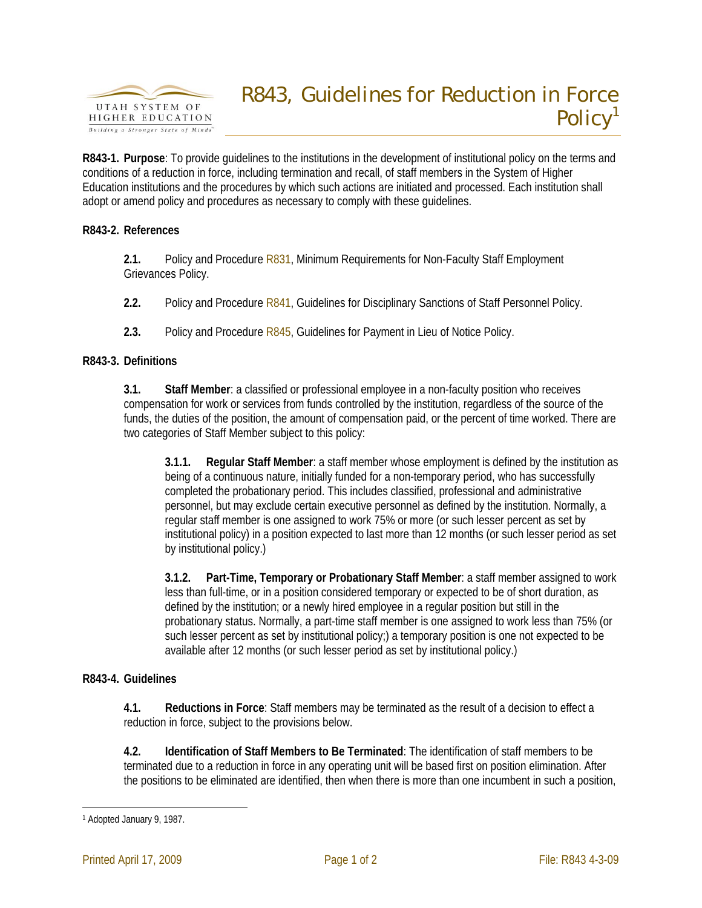

**R843-1. Purpose**: To provide guidelines to the institutions in the development of institutional policy on the terms and conditions of a reduction in force, including termination and recall, of staff members in the System of Higher Education institutions and the procedures by which such actions are initiated and processed. Each institution shall adopt or amend policy and procedures as necessary to comply with these guidelines.

## **R843-2. References**

**2.1.** Policy and Procedure R831, Minimum Requirements for Non-Faculty Staff Employment Grievances Policy.

**2.2.** Policy and Procedure R841, Guidelines for Disciplinary Sanctions of Staff Personnel Policy.

**2.3.** Policy and Procedure R845, Guidelines for Payment in Lieu of Notice Policy.

## **R843-3. Definitions**

**3.1. Staff Member**: a classified or professional employee in a non-faculty position who receives compensation for work or services from funds controlled by the institution, regardless of the source of the funds, the duties of the position, the amount of compensation paid, or the percent of time worked. There are two categories of Staff Member subject to this policy:

**3.1.1. Regular Staff Member**: a staff member whose employment is defined by the institution as being of a continuous nature, initially funded for a non-temporary period, who has successfully completed the probationary period. This includes classified, professional and administrative personnel, but may exclude certain executive personnel as defined by the institution. Normally, a regular staff member is one assigned to work 75% or more (or such lesser percent as set by institutional policy) in a position expected to last more than 12 months (or such lesser period as set by institutional policy.)

**3.1.2. Part-Time, Temporary or Probationary Staff Member**: a staff member assigned to work less than full-time, or in a position considered temporary or expected to be of short duration, as defined by the institution; or a newly hired employee in a regular position but still in the probationary status. Normally, a part-time staff member is one assigned to work less than 75% (or such lesser percent as set by institutional policy;) a temporary position is one not expected to be available after 12 months (or such lesser period as set by institutional policy.)

## **R843-4. Guidelines**

**4.1. Reductions in Force**: Staff members may be terminated as the result of a decision to effect a reduction in force, subject to the provisions below.

**4.2. Identification of Staff Members to Be Terminated**: The identification of staff members to be terminated due to a reduction in force in any operating unit will be based first on position elimination. After the positions to be eliminated are identified, then when there is more than one incumbent in such a position,

<sup>&</sup>lt;u>.</u> 1 Adopted January 9, 1987.